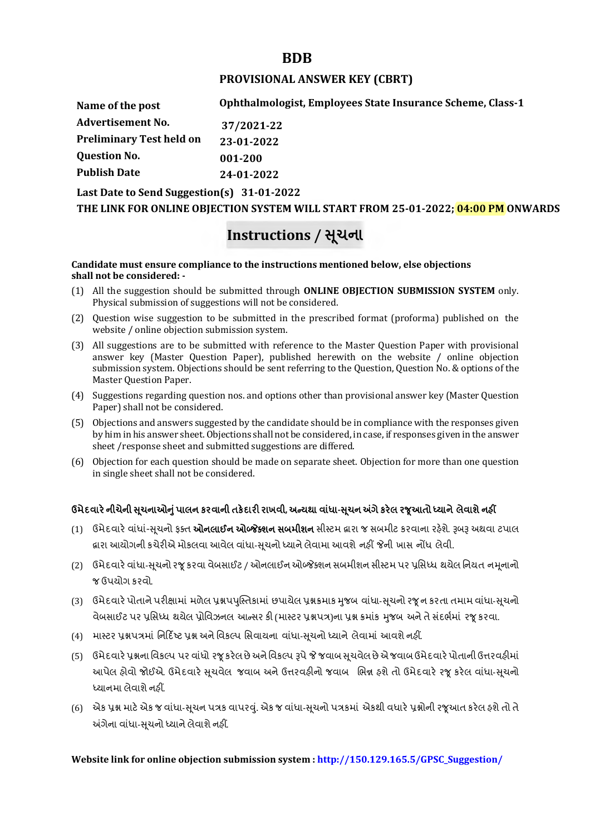## **BDB**

### **PROVISIONAL ANSWER KEY (CBRT)**

**Name of the post Advertisement No. Preliminary Test held on Question No. Publish Date Ophthalmologist, Employees State Insurance Scheme, Class-1 37/2021-22 23-01-2022 001-200 24-01-2022**

**Last Date to Send Suggestion(s) 31-01-2022**

**THE LINK FOR ONLINE OBJECTION SYSTEM WILL START FROM 25-01-2022; 04:00 PM ONWARDS**

# **Instructions / Ʌ ૂચના**

#### **Candidate must ensure compliance to the instructions mentioned below, else objections shall not be considered: -**

- (1) All the suggestion should be submitted through **ONLINE OBJECTION SUBMISSION SYSTEM** only. Physical submission of suggestions will not be considered.
- (2) Question wise suggestion to be submitted in the prescribed format (proforma) published on the website / online objection submission system.
- (3) All suggestions are to be submitted with reference to the Master Question Paper with provisional answer key (Master Question Paper), published herewith on the website / online objection submission system. Objections should be sent referring to the Question, Question No. & options of the Master Question Paper.
- (4) Suggestions regarding question nos. and options other than provisional answer key (Master Question Paper) shall not be considered.
- (5) Objections and answers suggested by the candidate should be in compliance with the responses given by him in his answer sheet. Objections shall not be considered, in case, if responses given in the answer sheet /response sheet and submitted suggestions are differed.
- (6) Objection for each question should be made on separate sheet. Objection for more than one question in single sheet shall not be considered.

## **ઉમેદવાર°નીચેની Ʌ ૂચનાઓȵુંપાલન કરવાની તક°દાર રાખવી, અƛયથા વા ંધા-Ʌ ૂચન Ӕગેકર°લ રȩૂઆતો ƚયાને લેવાશેનહӄ**

- (1) ઉમેદવારે વાંધાં-સુચનો ફક્ત **ઓનલાઈન ઓબ્જેક્શન સબમીશન** સીસ્ટમ હ્રારા જ સબમીટ કરવાના રહેશે. રૂબરૂ અથવા ટપાલ દ્વારા આયોગની કચેરીએ મોકલવા આવેલ વાંધા-સૂચનો ધ્યાને લેવામા આવશે નહીં જેની ખાસ નોંધ લેવી.
- (2) ઉમેદવારે વાંધા-સચનો રજ કરવા વેબસાઈટ / ઓનલાઈન ઓબ્જેક્શન સબમીશન સીસ્ટમ પર પ્રસિધ્ધ થયેલ નિયત નમનાનો જ ઉપયોગ કરવો.
- (3) ઉમેદવારે પોતાને પરીક્ષામાં મળેલ પ્રશ્નપપુસ્તિકામાં છપાયેલ પ્રશ્નક્રમાક મુજબ વાંધા-સૂચનો રજૂન કરતા તમામ વાંધા-સૂચનો વેબસાઈટ પર પ્રસિધ્ધ થયેલ પ્રોવિઝનલ આન્સર કી (માસ્ટર પ્રશ્નપત્ર)ના પ્રશ્ન ક્રમાંક મજબ અને તે સંદર્ભમાં ૨જ કરવા.
- (4) માસ્ટર પ્રશ્નપત્રમાં નિર્દિષ્ટ પ્રશ્ન અને વિકલ્પ સિવાયના વાંધા-સચનો ધ્યાને લેવામાં આવશે નહીં.
- (5) ઉમેદવારે પ્રશ્નના વિકલ્પ પર વાંધો રજૂ કરેલ છે અને વિકલ્પ રૂપે જે જવાબ સુચવેલ છે એ જવાબ ઉમેદવારે પોતાની ઉત્તરવહીમાં આપેલ હોવો જોઈએ. ઉમેદવારે સૂચવેલ જવાબ અને ઉત્તરવહીનો જવાબ ભિન્ન હશે તો ઉમેદવારે રજૂ કરેલ વાંધા-સૂચનો ધ્યાનમા લેવાશે નહીં.
- (6) એક પ્રશ્ન માટે એક જ વાંધા-સૂચન પત્રક વાપરવું. એક જ વાંધા-સૂચનો પત્રકમાં એકથી વધારે પ્રશ્નોની રજૂઆત કરેલ હશે તો તે અંગેના વાંધા-સુચનો ધ્યાને લેવાશે નહીં.

#### **Website link for online objection submission system : http://150.129.165.5/GPSC\_Suggestion/**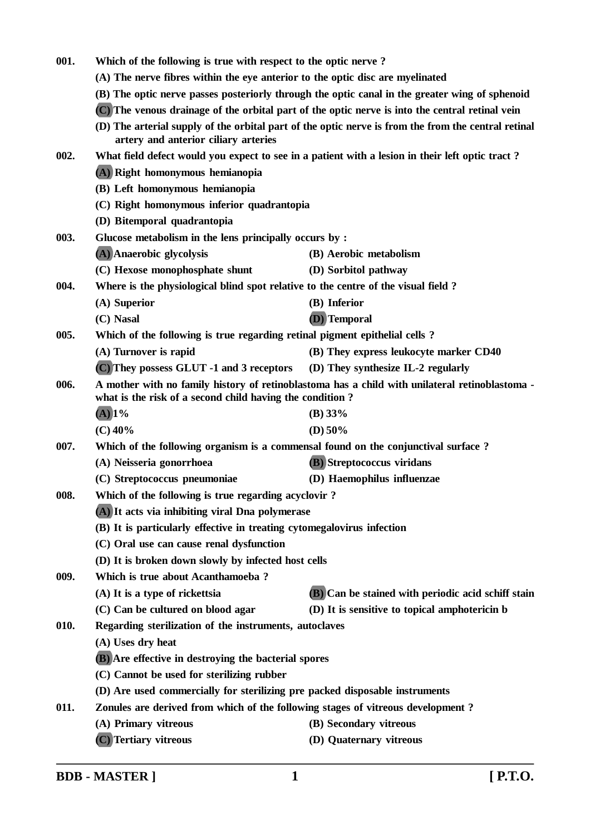| 001. | Which of the following is true with respect to the optic nerve?                                                                                                                                   |                                                                                                     |
|------|---------------------------------------------------------------------------------------------------------------------------------------------------------------------------------------------------|-----------------------------------------------------------------------------------------------------|
|      | (A) The nerve fibres within the eye anterior to the optic disc are myelinated                                                                                                                     |                                                                                                     |
|      | (B) The optic nerve passes posteriorly through the optic canal in the greater wing of sphenoid<br>(C) The venous drainage of the orbital part of the optic nerve is into the central retinal vein |                                                                                                     |
|      |                                                                                                                                                                                                   |                                                                                                     |
|      | artery and anterior ciliary arteries                                                                                                                                                              | (D) The arterial supply of the orbital part of the optic nerve is from the from the central retinal |
| 002. |                                                                                                                                                                                                   | What field defect would you expect to see in a patient with a lesion in their left optic tract?     |
|      | (A) Right homonymous hemianopia                                                                                                                                                                   |                                                                                                     |
|      | (B) Left homonymous hemianopia                                                                                                                                                                    |                                                                                                     |
|      | (C) Right homonymous inferior quadrantopia                                                                                                                                                        |                                                                                                     |
|      | (D) Bitemporal quadrantopia                                                                                                                                                                       |                                                                                                     |
| 003. | Glucose metabolism in the lens principally occurs by :                                                                                                                                            |                                                                                                     |
|      | (A) Anaerobic glycolysis                                                                                                                                                                          | (B) Aerobic metabolism                                                                              |
|      | (C) Hexose monophosphate shunt                                                                                                                                                                    | (D) Sorbitol pathway                                                                                |
| 004. | Where is the physiological blind spot relative to the centre of the visual field?                                                                                                                 |                                                                                                     |
|      | (A) Superior                                                                                                                                                                                      | (B) Inferior                                                                                        |
|      | (C) Nasal                                                                                                                                                                                         | (D) Temporal                                                                                        |
| 005. | Which of the following is true regarding retinal pigment epithelial cells?                                                                                                                        |                                                                                                     |
|      | (A) Turnover is rapid                                                                                                                                                                             | (B) They express leukocyte marker CD40                                                              |
|      | (C) They possess GLUT -1 and 3 receptors                                                                                                                                                          | (D) They synthesize IL-2 regularly                                                                  |
| 006. |                                                                                                                                                                                                   | A mother with no family history of retinoblastoma has a child with unilateral retinoblastoma -      |
|      | what is the risk of a second child having the condition?                                                                                                                                          |                                                                                                     |
|      | $(A)$ 1%                                                                                                                                                                                          | (B) 33%                                                                                             |
|      | $(C)$ 40%                                                                                                                                                                                         | (D) $50\%$                                                                                          |
| 007. | Which of the following organism is a commensal found on the conjunctival surface?                                                                                                                 |                                                                                                     |
|      | (A) Neisseria gonorrhoea                                                                                                                                                                          | <b>(B)</b> Streptococcus viridans                                                                   |
|      | (C) Streptococcus pneumoniae                                                                                                                                                                      | (D) Haemophilus influenzae                                                                          |
| 008. | Which of the following is true regarding acyclovir?                                                                                                                                               |                                                                                                     |
|      | (A) It acts via inhibiting viral Dna polymerase                                                                                                                                                   |                                                                                                     |
|      | (B) It is particularly effective in treating cytomegalovirus infection                                                                                                                            |                                                                                                     |
|      | (C) Oral use can cause renal dysfunction                                                                                                                                                          |                                                                                                     |
|      | (D) It is broken down slowly by infected host cells                                                                                                                                               |                                                                                                     |
| 009. | Which is true about Acanthamoeba?                                                                                                                                                                 |                                                                                                     |
|      | (A) It is a type of rickettsia                                                                                                                                                                    | <b>(B)</b> Can be stained with periodic acid schiff stain                                           |
|      | (C) Can be cultured on blood agar                                                                                                                                                                 | (D) It is sensitive to topical amphotericin b                                                       |
| 010. | Regarding sterilization of the instruments, autoclaves                                                                                                                                            |                                                                                                     |
|      | (A) Uses dry heat                                                                                                                                                                                 |                                                                                                     |
|      | <b>(B)</b> Are effective in destroying the bacterial spores                                                                                                                                       |                                                                                                     |
|      | (C) Cannot be used for sterilizing rubber                                                                                                                                                         |                                                                                                     |
|      | (D) Are used commercially for sterilizing pre packed disposable instruments                                                                                                                       |                                                                                                     |
| 011. | Zonules are derived from which of the following stages of vitreous development?                                                                                                                   |                                                                                                     |
|      | (A) Primary vitreous                                                                                                                                                                              | (B) Secondary vitreous                                                                              |
|      | (C) Tertiary vitreous                                                                                                                                                                             | (D) Quaternary vitreous                                                                             |

**BDB - MASTER ] 1 [ P.T.O.**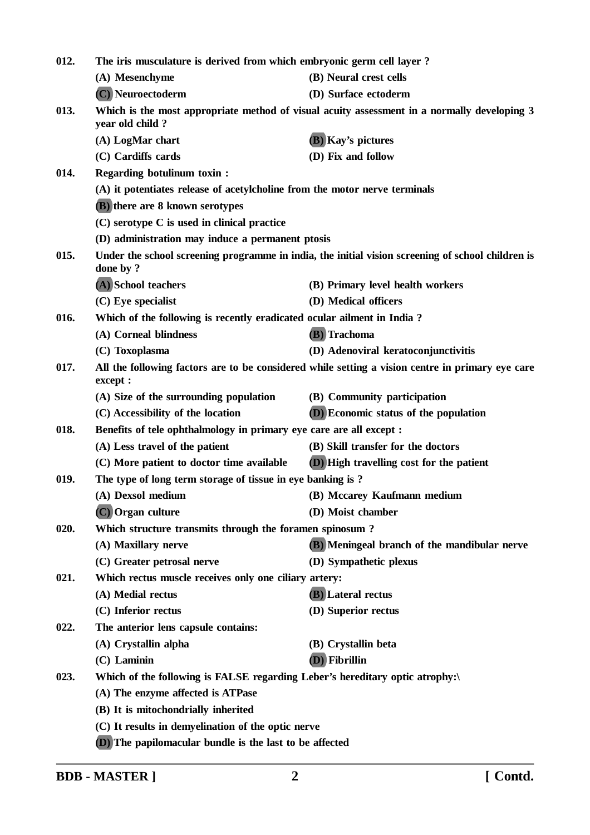| 012. | The iris musculature is derived from which embryonic germ cell layer?       |                                                                                                   |  |
|------|-----------------------------------------------------------------------------|---------------------------------------------------------------------------------------------------|--|
|      | (A) Mesenchyme                                                              | (B) Neural crest cells                                                                            |  |
|      | (C) Neuroectoderm                                                           | (D) Surface ectoderm                                                                              |  |
| 013. | year old child?                                                             | Which is the most appropriate method of visual acuity assessment in a normally developing 3       |  |
|      | (A) LogMar chart                                                            | (B) Kay's pictures                                                                                |  |
|      | (C) Cardiffs cards                                                          | (D) Fix and follow                                                                                |  |
| 014. | <b>Regarding botulinum toxin:</b>                                           |                                                                                                   |  |
|      | (A) it potentiates release of acetylcholine from the motor nerve terminals  |                                                                                                   |  |
|      | (B) there are 8 known serotypes                                             |                                                                                                   |  |
|      | (C) serotype C is used in clinical practice                                 |                                                                                                   |  |
|      | (D) administration may induce a permanent ptosis                            |                                                                                                   |  |
| 015. | done by ?                                                                   | Under the school screening programme in india, the initial vision screening of school children is |  |
|      | (A) School teachers                                                         | (B) Primary level health workers                                                                  |  |
|      | $(C)$ Eye specialist                                                        | (D) Medical officers                                                                              |  |
| 016. | Which of the following is recently eradicated ocular ailment in India?      |                                                                                                   |  |
|      | (A) Corneal blindness                                                       | (B) Trachoma                                                                                      |  |
|      | (C) Toxoplasma                                                              | (D) Adenoviral keratoconjunctivitis                                                               |  |
| 017. | except :                                                                    | All the following factors are to be considered while setting a vision centre in primary eye care  |  |
|      | (A) Size of the surrounding population                                      | (B) Community participation                                                                       |  |
|      | (C) Accessibility of the location                                           | <b>(D)</b> Economic status of the population                                                      |  |
| 018. | Benefits of tele ophthalmology in primary eye care are all except :         |                                                                                                   |  |
|      | (A) Less travel of the patient                                              | (B) Skill transfer for the doctors                                                                |  |
|      | (C) More patient to doctor time available                                   | <b>(D)</b> High travelling cost for the patient                                                   |  |
| 019. | The type of long term storage of tissue in eye banking is?                  |                                                                                                   |  |
|      | (A) Dexsol medium                                                           | (B) Mccarey Kaufmann medium                                                                       |  |
|      | (C) Organ culture                                                           | (D) Moist chamber                                                                                 |  |
| 020. | Which structure transmits through the foramen spinosum?                     |                                                                                                   |  |
|      | (A) Maxillary nerve                                                         | (B) Meningeal branch of the mandibular nerve                                                      |  |
|      | (C) Greater petrosal nerve                                                  | (D) Sympathetic plexus                                                                            |  |
| 021. | Which rectus muscle receives only one ciliary artery:                       |                                                                                                   |  |
|      | (A) Medial rectus                                                           | (B) Lateral rectus                                                                                |  |
|      | (C) Inferior rectus                                                         | (D) Superior rectus                                                                               |  |
| 022. | The anterior lens capsule contains:                                         |                                                                                                   |  |
|      | (A) Crystallin alpha                                                        | (B) Crystallin beta                                                                               |  |
|      | $(C)$ Laminin                                                               | $(D)$ Fibrillin                                                                                   |  |
| 023. | Which of the following is FALSE regarding Leber's hereditary optic atrophy: |                                                                                                   |  |
|      | (A) The enzyme affected is ATPase                                           |                                                                                                   |  |
|      | (B) It is mitochondrially inherited                                         |                                                                                                   |  |
|      | (C) It results in demyelination of the optic nerve                          |                                                                                                   |  |
|      | (D) The papilomacular bundle is the last to be affected                     |                                                                                                   |  |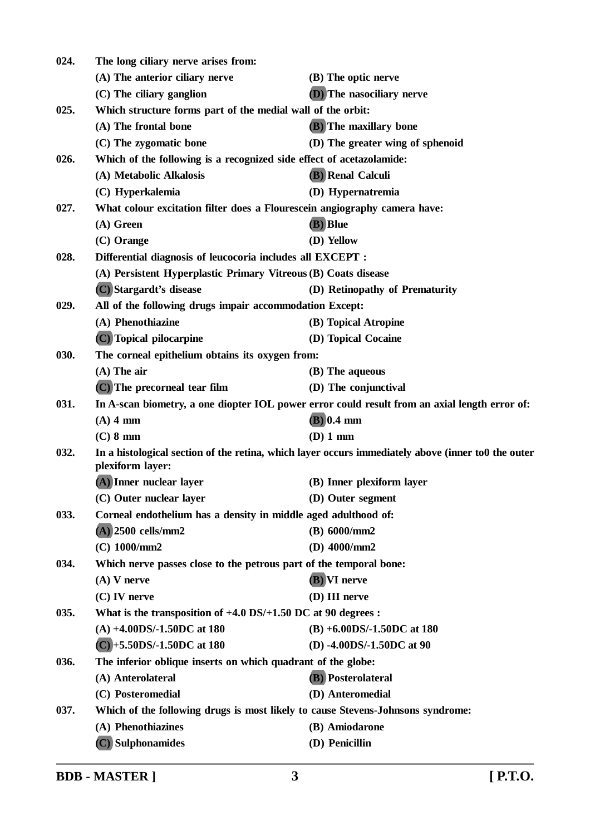| 024. | The long ciliary nerve arises from:                                             |                                                                                                    |
|------|---------------------------------------------------------------------------------|----------------------------------------------------------------------------------------------------|
|      | (A) The anterior ciliary nerve                                                  | (B) The optic nerve                                                                                |
|      | (C) The ciliary ganglion                                                        | (D) The nasociliary nerve                                                                          |
| 025. | Which structure forms part of the medial wall of the orbit:                     |                                                                                                    |
|      | (A) The frontal bone                                                            | (B) The maxillary bone                                                                             |
|      | (C) The zygomatic bone                                                          | (D) The greater wing of sphenoid                                                                   |
| 026. | Which of the following is a recognized side effect of acetazolamide:            |                                                                                                    |
|      | (A) Metabolic Alkalosis                                                         | <b>(B)</b> Renal Calculi                                                                           |
|      | (C) Hyperkalemia                                                                | (D) Hypernatremia                                                                                  |
| 027. | What colour excitation filter does a Flourescein angiography camera have:       |                                                                                                    |
|      | $(A)$ Green                                                                     | (B) Blue                                                                                           |
|      | $(C)$ Orange                                                                    | (D) Yellow                                                                                         |
| 028. | Differential diagnosis of leucocoria includes all EXCEPT :                      |                                                                                                    |
|      | (A) Persistent Hyperplastic Primary Vitreous (B) Coats disease                  |                                                                                                    |
|      | (C) Stargardt's disease                                                         | (D) Retinopathy of Prematurity                                                                     |
| 029. | All of the following drugs impair accommodation Except:                         |                                                                                                    |
|      | (A) Phenothiazine                                                               | (B) Topical Atropine                                                                               |
|      | (C) Topical pilocarpine                                                         | (D) Topical Cocaine                                                                                |
| 030. | The corneal epithelium obtains its oxygen from:                                 |                                                                                                    |
|      | $(A)$ The air                                                                   | (B) The aqueous                                                                                    |
|      | (C) The precorneal tear film                                                    | (D) The conjunctival                                                                               |
| 031. |                                                                                 | In A-scan biometry, a one diopter IOL power error could result from an axial length error of:      |
|      | $(A)$ 4 mm                                                                      | $(B)$ 0.4 mm                                                                                       |
|      | $(C)$ 8 mm                                                                      | (D) 1 mm                                                                                           |
| 032. | plexiform layer:                                                                | In a histological section of the retina, which layer occurs immediately above (inner to0 the outer |
|      | (A) Inner nuclear layer                                                         | (B) Inner plexiform layer                                                                          |
|      | (C) Outer nuclear layer                                                         | (D) Outer segment                                                                                  |
| 033. | Corneal endothelium has a density in middle aged adulthood of:                  |                                                                                                    |
|      | $(A)$ 2500 cells/mm2                                                            | (B) 6000/mm2                                                                                       |
|      | $(C)$ 1000/mm2                                                                  | (D) $4000/mm2$                                                                                     |
| 034. | Which nerve passes close to the petrous part of the temporal bone:              |                                                                                                    |
|      | $(A)$ V nerve                                                                   | (B) VI nerve                                                                                       |
|      | $(C)$ IV nerve                                                                  | (D) III nerve                                                                                      |
| 035. | What is the transposition of $+4.0$ DS/ $+1.50$ DC at 90 degrees :              |                                                                                                    |
|      | $(A) +4.00DS/-1.50DC$ at 180                                                    | $(B) +6.00DS/-1.50DC$ at 180                                                                       |
|      | $(C) + 5.50DS/ -1.50DC$ at 180                                                  | (D) -4.00DS/-1.50DC at 90                                                                          |
| 036. | The inferior oblique inserts on which quadrant of the globe:                    |                                                                                                    |
|      | (A) Anterolateral                                                               | (B) Posterolateral                                                                                 |
|      | (C) Posteromedial                                                               | (D) Anteromedial                                                                                   |
| 037. | Which of the following drugs is most likely to cause Stevens-Johnsons syndrome: |                                                                                                    |
|      | (A) Phenothiazines                                                              | (B) Amiodarone                                                                                     |
|      | (C) Sulphonamides                                                               | (D) Penicillin                                                                                     |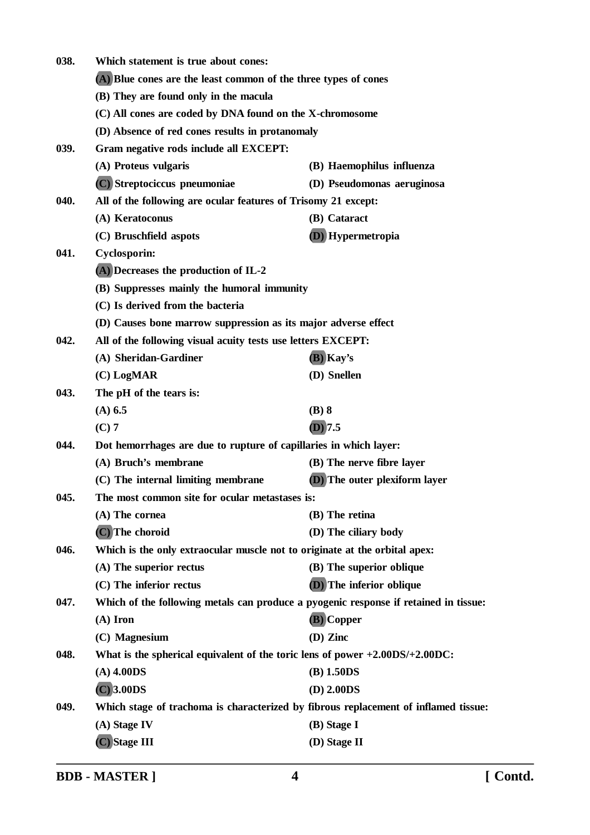| 038. | Which statement is true about cones:                                                 |                               |
|------|--------------------------------------------------------------------------------------|-------------------------------|
|      | (A) Blue cones are the least common of the three types of cones                      |                               |
|      | (B) They are found only in the macula                                                |                               |
|      | (C) All cones are coded by DNA found on the X-chromosome                             |                               |
|      | (D) Absence of red cones results in protanomaly                                      |                               |
| 039. | Gram negative rods include all EXCEPT:                                               |                               |
|      | (A) Proteus vulgaris                                                                 | (B) Haemophilus influenza     |
|      | (C) Streptociccus pneumoniae                                                         | (D) Pseudomonas aeruginosa    |
| 040. | All of the following are ocular features of Trisomy 21 except:                       |                               |
|      | (A) Keratoconus                                                                      | (B) Cataract                  |
|      | (C) Bruschfield aspots                                                               | (D) Hypermetropia             |
| 041. | <b>Cyclosporin:</b>                                                                  |                               |
|      | (A) Decreases the production of IL-2                                                 |                               |
|      | (B) Suppresses mainly the humoral immunity                                           |                               |
|      | (C) Is derived from the bacteria                                                     |                               |
|      | (D) Causes bone marrow suppression as its major adverse effect                       |                               |
| 042. | All of the following visual acuity tests use letters EXCEPT:                         |                               |
|      | (A) Sheridan-Gardiner                                                                | (B) Kay's                     |
|      | $(C)$ LogMAR                                                                         | (D) Snellen                   |
| 043. | The pH of the tears is:                                                              |                               |
|      | $(A)$ 6.5                                                                            | $(B)$ 8                       |
|      | $(C)$ 7                                                                              | $(D)$ 7.5                     |
| 044. | Dot hemorrhages are due to rupture of capillaries in which layer:                    |                               |
|      | (A) Bruch's membrane                                                                 | (B) The nerve fibre layer     |
|      | (C) The internal limiting membrane                                                   | (D) The outer plexiform layer |
| 045. | The most common site for ocular metastases is:                                       |                               |
|      | (A) The cornea                                                                       | (B) The retina                |
|      | (C) The choroid                                                                      | (D) The ciliary body          |
| 046. | Which is the only extraocular muscle not to originate at the orbital apex:           |                               |
|      | (A) The superior rectus                                                              | (B) The superior oblique      |
|      | (C) The inferior rectus                                                              | (D) The inferior oblique      |
| 047. | Which of the following metals can produce a pyogenic response if retained in tissue: |                               |
|      | $(A)$ Iron                                                                           | (B) Copper                    |
|      | (C) Magnesium                                                                        | (D) Zinc                      |
| 048. | What is the spherical equivalent of the toric lens of power $+2.00DS/+2.00DC$ :      |                               |
|      | $(A)$ 4.00DS                                                                         | $(B)$ 1.50DS                  |
|      | $(C)$ 3.00DS                                                                         | $(D)$ 2.00DS                  |
| 049. | Which stage of trachoma is characterized by fibrous replacement of inflamed tissue:  |                               |
|      | (A) Stage IV                                                                         | $(B)$ Stage I                 |
|      | (C) Stage III                                                                        | (D) Stage II                  |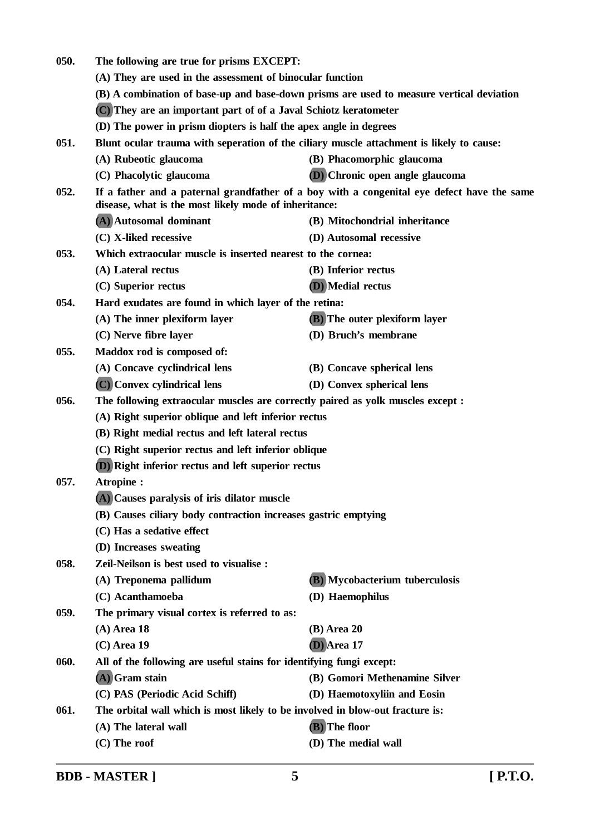| 050. | The following are true for prisms EXCEPT:<br>(A) They are used in the assessment of binocular function<br>(B) A combination of base-up and base-down prisms are used to measure vertical deviation |                                      |  |
|------|----------------------------------------------------------------------------------------------------------------------------------------------------------------------------------------------------|--------------------------------------|--|
|      |                                                                                                                                                                                                    |                                      |  |
|      |                                                                                                                                                                                                    |                                      |  |
|      | (C) They are an important part of of a Javal Schiotz keratometer                                                                                                                                   |                                      |  |
|      | (D) The power in prism diopters is half the apex angle in degrees                                                                                                                                  |                                      |  |
| 051. | Blunt ocular trauma with seperation of the ciliary muscle attachment is likely to cause:                                                                                                           |                                      |  |
|      | (A) Rubeotic glaucoma                                                                                                                                                                              | (B) Phacomorphic glaucoma            |  |
|      | (C) Phacolytic glaucoma                                                                                                                                                                            | <b>D</b> Chronic open angle glaucoma |  |
| 052. | If a father and a paternal grandfather of a boy with a congenital eye defect have the same<br>disease, what is the most likely mode of inheritance:                                                |                                      |  |
|      | (A) Autosomal dominant                                                                                                                                                                             | (B) Mitochondrial inheritance        |  |
|      | (C) X-liked recessive                                                                                                                                                                              | (D) Autosomal recessive              |  |
| 053. | Which extraocular muscle is inserted nearest to the cornea:                                                                                                                                        |                                      |  |
|      | (A) Lateral rectus                                                                                                                                                                                 | (B) Inferior rectus                  |  |
|      | (C) Superior rectus                                                                                                                                                                                | (D) Medial rectus                    |  |
| 054. | Hard exudates are found in which layer of the retina:                                                                                                                                              |                                      |  |
|      | (A) The inner plexiform layer                                                                                                                                                                      | <b>(B)</b> The outer plexiform layer |  |
|      | (C) Nerve fibre layer                                                                                                                                                                              | (D) Bruch's membrane                 |  |
| 055. | Maddox rod is composed of:                                                                                                                                                                         |                                      |  |
|      | (A) Concave cyclindrical lens                                                                                                                                                                      | (B) Concave spherical lens           |  |
|      | (C) Convex cylindrical lens                                                                                                                                                                        | (D) Convex spherical lens            |  |
| 056. | The following extraocular muscles are correctly paired as yolk muscles except :                                                                                                                    |                                      |  |
|      | (A) Right superior oblique and left inferior rectus<br>(B) Right medial rectus and left lateral rectus                                                                                             |                                      |  |
|      |                                                                                                                                                                                                    |                                      |  |
|      | (C) Right superior rectus and left inferior oblique                                                                                                                                                |                                      |  |
|      | (D) Right inferior rectus and left superior rectus                                                                                                                                                 |                                      |  |
| 057. | Atropine:                                                                                                                                                                                          |                                      |  |
|      | (A) Causes paralysis of iris dilator muscle                                                                                                                                                        |                                      |  |
|      | (B) Causes ciliary body contraction increases gastric emptying                                                                                                                                     |                                      |  |
|      | (C) Has a sedative effect                                                                                                                                                                          |                                      |  |
|      | (D) Increases sweating                                                                                                                                                                             |                                      |  |
| 058. | Zeil-Neilson is best used to visualise :                                                                                                                                                           |                                      |  |
|      | (A) Treponema pallidum                                                                                                                                                                             | (B) Mycobacterium tuberculosis       |  |
|      | (C) Acanthamoeba                                                                                                                                                                                   | (D) Haemophilus                      |  |
| 059. | The primary visual cortex is referred to as:                                                                                                                                                       |                                      |  |
|      | $(A)$ Area 18                                                                                                                                                                                      | $(B)$ Area 20                        |  |
|      | $(C)$ Area 19                                                                                                                                                                                      | $(D)$ Area 17                        |  |
| 060. | All of the following are useful stains for identifying fungi except:                                                                                                                               |                                      |  |
|      | (A) Gram stain                                                                                                                                                                                     | (B) Gomori Methenamine Silver        |  |
|      | (C) PAS (Periodic Acid Schiff)                                                                                                                                                                     | (D) Haemotoxyliin and Eosin          |  |
| 061. | The orbital wall which is most likely to be involved in blow-out fracture is:                                                                                                                      |                                      |  |
|      | (A) The lateral wall                                                                                                                                                                               | (B) The floor                        |  |
|      | (C) The roof                                                                                                                                                                                       | (D) The medial wall                  |  |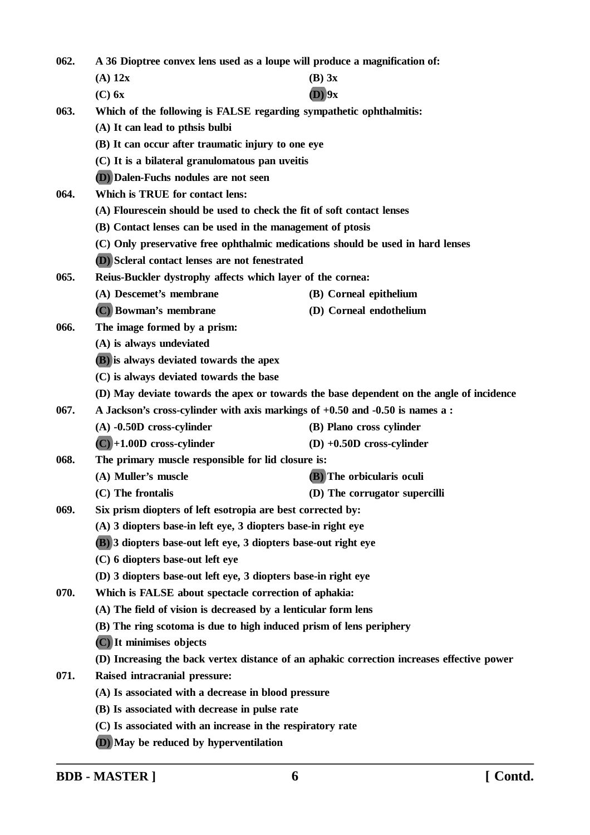| 062. | A 36 Dioptree convex lens used as a loupe will produce a magnification of: |                                                                                            |  |  |
|------|----------------------------------------------------------------------------|--------------------------------------------------------------------------------------------|--|--|
|      | $(A)$ 12x                                                                  | $(B)$ 3x                                                                                   |  |  |
|      | $(C)$ 6x                                                                   | $(D)$ 9x                                                                                   |  |  |
| 063. |                                                                            | Which of the following is FALSE regarding sympathetic ophthalmitis:                        |  |  |
|      | (A) It can lead to pthsis bulbi                                            |                                                                                            |  |  |
|      | (B) It can occur after traumatic injury to one eye                         |                                                                                            |  |  |
|      | (C) It is a bilateral granulomatous pan uveitis                            |                                                                                            |  |  |
|      | (D) Dalen-Fuchs nodules are not seen                                       |                                                                                            |  |  |
| 064. | Which is TRUE for contact lens:                                            |                                                                                            |  |  |
|      | (A) Flourescein should be used to check the fit of soft contact lenses     |                                                                                            |  |  |
|      | (B) Contact lenses can be used in the management of ptosis                 |                                                                                            |  |  |
|      |                                                                            | (C) Only preservative free ophthalmic medications should be used in hard lenses            |  |  |
|      | (D) Scleral contact lenses are not fenestrated                             |                                                                                            |  |  |
| 065. | Reius-Buckler dystrophy affects which layer of the cornea:                 |                                                                                            |  |  |
|      | (A) Descemet's membrane                                                    | (B) Corneal epithelium                                                                     |  |  |
|      | (C) Bowman's membrane                                                      | (D) Corneal endothelium                                                                    |  |  |
| 066. | The image formed by a prism:                                               |                                                                                            |  |  |
|      | (A) is always undeviated                                                   |                                                                                            |  |  |
|      | (B) is always deviated towards the apex                                    |                                                                                            |  |  |
|      |                                                                            | (C) is always deviated towards the base                                                    |  |  |
|      |                                                                            | (D) May deviate towards the apex or towards the base dependent on the angle of incidence   |  |  |
| 067. |                                                                            | A Jackson's cross-cylinder with axis markings of +0.50 and -0.50 is names a :              |  |  |
|      | $(A)$ -0.50D cross-cylinder                                                | (B) Plano cross cylinder                                                                   |  |  |
|      | $(C) + 1.00D$ cross-cylinder                                               | $(D) +0.50D$ cross-cylinder                                                                |  |  |
| 068. | The primary muscle responsible for lid closure is:                         |                                                                                            |  |  |
|      | (A) Muller's muscle                                                        | (B) The orbicularis oculi                                                                  |  |  |
|      | (C) The frontalis                                                          | (D) The corrugator supercilli                                                              |  |  |
| 069. |                                                                            | Six prism diopters of left esotropia are best corrected by:                                |  |  |
|      | (A) 3 diopters base-in left eye, 3 diopters base-in right eye              |                                                                                            |  |  |
|      | (B) 3 diopters base-out left eye, 3 diopters base-out right eye            |                                                                                            |  |  |
|      | (C) 6 diopters base-out left eye                                           |                                                                                            |  |  |
|      | (D) 3 diopters base-out left eye, 3 diopters base-in right eye             |                                                                                            |  |  |
| 070. | Which is FALSE about spectacle correction of aphakia:                      |                                                                                            |  |  |
|      | (A) The field of vision is decreased by a lenticular form lens             |                                                                                            |  |  |
|      | (B) The ring scotoma is due to high induced prism of lens periphery        |                                                                                            |  |  |
|      | (C) It minimises objects                                                   |                                                                                            |  |  |
|      |                                                                            | (D) Increasing the back vertex distance of an aphakic correction increases effective power |  |  |
| 071. | Raised intracranial pressure:                                              |                                                                                            |  |  |
|      | (A) Is associated with a decrease in blood pressure                        |                                                                                            |  |  |
|      | (B) Is associated with decrease in pulse rate                              |                                                                                            |  |  |
|      | (C) Is associated with an increase in the respiratory rate                 |                                                                                            |  |  |
|      |                                                                            |                                                                                            |  |  |

**(D) May be reduced by hyperventilation**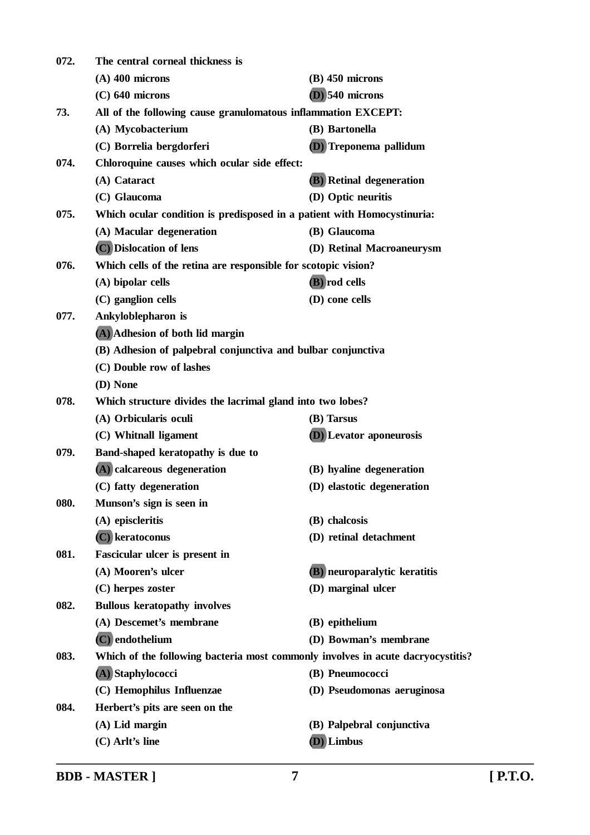| 072. | The central corneal thickness is                                                |                                     |  |
|------|---------------------------------------------------------------------------------|-------------------------------------|--|
|      | $(A)$ 400 microns                                                               | $(B)$ 450 microns                   |  |
|      | $(C)$ 640 microns                                                               | $(D)$ 540 microns                   |  |
| 73.  | All of the following cause granulomatous inflammation EXCEPT:                   |                                     |  |
|      | (A) Mycobacterium                                                               | (B) Bartonella                      |  |
|      | (C) Borrelia bergdorferi                                                        | (D) Treponema pallidum              |  |
| 074. | Chloroquine causes which ocular side effect:                                    |                                     |  |
|      | (A) Cataract                                                                    | <b>(B)</b> Retinal degeneration     |  |
|      | (C) Glaucoma                                                                    | (D) Optic neuritis                  |  |
| 075. | Which ocular condition is predisposed in a patient with Homocystinuria:         |                                     |  |
|      | (A) Macular degeneration                                                        | (B) Glaucoma                        |  |
|      | (C) Dislocation of lens                                                         | (D) Retinal Macroaneurysm           |  |
| 076. | Which cells of the retina are responsible for scotopic vision?                  |                                     |  |
|      | (A) bipolar cells                                                               | (B) rod cells                       |  |
|      | (C) ganglion cells                                                              | (D) cone cells                      |  |
| 077. | Ankyloblepharon is                                                              |                                     |  |
|      | (A) Adhesion of both lid margin                                                 |                                     |  |
|      | (B) Adhesion of palpebral conjunctiva and bulbar conjunctiva                    |                                     |  |
|      | (C) Double row of lashes                                                        |                                     |  |
|      | (D) None                                                                        |                                     |  |
| 078. | Which structure divides the lacrimal gland into two lobes?                      |                                     |  |
|      | (A) Orbicularis oculi                                                           | (B) Tarsus                          |  |
|      | (C) Whitnall ligament                                                           | (D) Levator aponeurosis             |  |
| 079. | Band-shaped keratopathy is due to                                               |                                     |  |
|      | (A) calcareous degeneration                                                     | (B) hyaline degeneration            |  |
|      | (C) fatty degeneration                                                          | (D) elastotic degeneration          |  |
| 080. | Munson's sign is seen in                                                        |                                     |  |
|      | (A) episcleritis                                                                | (B) chalcosis                       |  |
|      | (C) keratoconus                                                                 | (D) retinal detachment              |  |
| 081. | Fascicular ulcer is present in                                                  |                                     |  |
|      | (A) Mooren's ulcer                                                              | <b>(B)</b> neuroparalytic keratitis |  |
|      | (C) herpes zoster                                                               | (D) marginal ulcer                  |  |
| 082. | <b>Bullous keratopathy involves</b>                                             |                                     |  |
|      | (A) Descemet's membrane                                                         | (B) epithelium                      |  |
|      | $(C)$ endothelium                                                               | (D) Bowman's membrane               |  |
| 083. | Which of the following bacteria most commonly involves in acute dacryocystitis? |                                     |  |
|      | (A) Staphylococci                                                               | (B) Pneumococci                     |  |
|      | (C) Hemophilus Influenzae                                                       | (D) Pseudomonas aeruginosa          |  |
| 084. | Herbert's pits are seen on the                                                  |                                     |  |
|      | $(A)$ Lid margin                                                                | (B) Palpebral conjunctiva           |  |
|      | (C) Arlt's line                                                                 | (D) Limbus                          |  |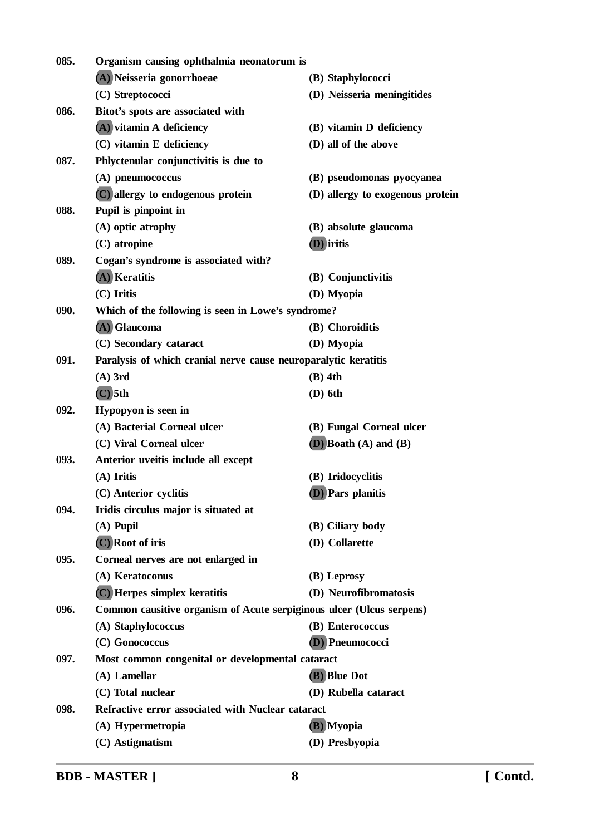| 085. | Organism causing ophthalmia neonatorum is                            |                                  |  |
|------|----------------------------------------------------------------------|----------------------------------|--|
|      | (A) Neisseria gonorrhoeae                                            | (B) Staphylococci                |  |
|      | (C) Streptococci                                                     | (D) Neisseria meningitides       |  |
| 086. | Bitot's spots are associated with                                    |                                  |  |
|      | (A) vitamin A deficiency                                             | (B) vitamin D deficiency         |  |
|      | (C) vitamin E deficiency                                             | (D) all of the above             |  |
| 087. | Phlyctenular conjunctivitis is due to                                |                                  |  |
|      | (A) pneumococcus                                                     | (B) pseudomonas pyocyanea        |  |
|      | (C) allergy to endogenous protein                                    | (D) allergy to exogenous protein |  |
| 088. | Pupil is pinpoint in                                                 |                                  |  |
|      | (A) optic atrophy                                                    | (B) absolute glaucoma            |  |
|      | (C) atropine                                                         | (D) iritis                       |  |
| 089. | Cogan's syndrome is associated with?                                 |                                  |  |
|      | (A) Keratitis                                                        | (B) Conjunctivitis               |  |
|      | $(C)$ Iritis                                                         | (D) Myopia                       |  |
| 090. | Which of the following is seen in Lowe's syndrome?                   |                                  |  |
|      | (A) Glaucoma                                                         | (B) Choroiditis                  |  |
|      | (C) Secondary cataract                                               | (D) Myopia                       |  |
| 091. | Paralysis of which cranial nerve cause neuroparalytic keratitis      |                                  |  |
|      | $(A)$ 3rd                                                            | $(B)$ 4th                        |  |
|      | $(C)$ 5th                                                            | $(D)$ 6th                        |  |
| 092. | Hypopyon is seen in                                                  |                                  |  |
|      | (A) Bacterial Corneal ulcer                                          | (B) Fungal Corneal ulcer         |  |
|      | (C) Viral Corneal ulcer                                              | $(D)$ Boath $(A)$ and $(B)$      |  |
| 093. | Anterior uveitis include all except                                  |                                  |  |
|      | $(A)$ Iritis                                                         | (B) Iridocyclitis                |  |
|      | (C) Anterior cyclitis                                                | (D) Pars planitis                |  |
| 094. | Iridis circulus major is situated at                                 |                                  |  |
|      | $(A)$ Pupil                                                          | (B) Ciliary body                 |  |
|      | (C) Root of iris                                                     | (D) Collarette                   |  |
| 095. | Corneal nerves are not enlarged in                                   |                                  |  |
|      | (A) Keratoconus                                                      | (B) Leprosy                      |  |
|      | (C) Herpes simplex keratitis                                         | (D) Neurofibromatosis            |  |
| 096. | Common causitive organism of Acute serpiginous ulcer (Ulcus serpens) |                                  |  |
|      | (A) Staphylococcus                                                   | (B) Enterococcus                 |  |
|      | (C) Gonococcus                                                       | (D) Pneumococci                  |  |
| 097. | Most common congenital or developmental cataract                     |                                  |  |
|      | $(A)$ Lamellar                                                       | (B) Blue Dot                     |  |
|      | (C) Total nuclear                                                    | (D) Rubella cataract             |  |
| 098. | Refractive error associated with Nuclear cataract                    |                                  |  |
|      | (A) Hypermetropia                                                    | (B) Myopia                       |  |
|      | (C) Astigmatism                                                      | (D) Presbyopia                   |  |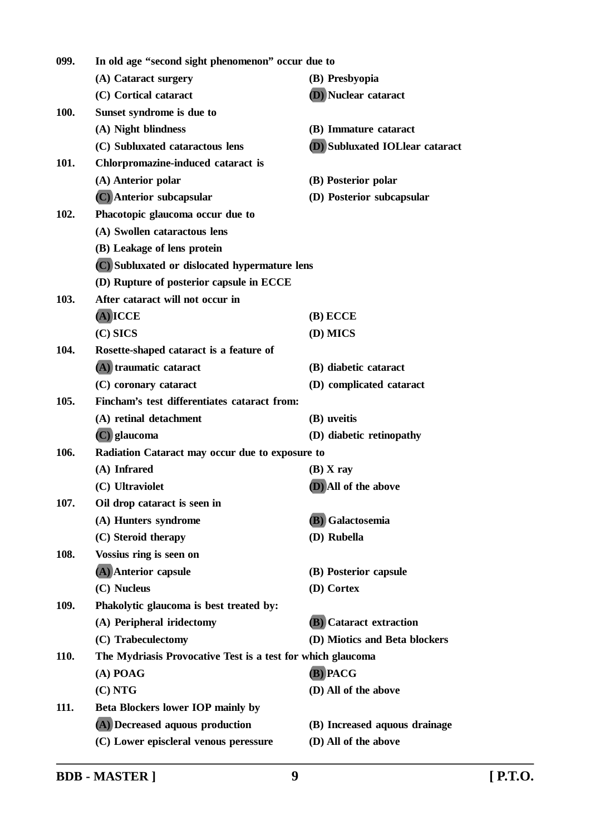| 099. | In old age "second sight phenomenon" occur due to           |                                      |
|------|-------------------------------------------------------------|--------------------------------------|
|      | (A) Cataract surgery                                        | (B) Presbyopia                       |
|      | (C) Cortical cataract                                       | (D) Nuclear cataract                 |
| 100. | Sunset syndrome is due to                                   |                                      |
|      | (A) Night blindness                                         | (B) Immature cataract                |
|      | (C) Subluxated cataractous lens                             | <b>D</b> Subluxated IOLlear cataract |
| 101. | Chlorpromazine-induced cataract is                          |                                      |
|      | (A) Anterior polar                                          | (B) Posterior polar                  |
|      | (C) Anterior subcapsular                                    | (D) Posterior subcapsular            |
| 102. | Phacotopic glaucoma occur due to                            |                                      |
|      | (A) Swollen cataractous lens                                |                                      |
|      | (B) Leakage of lens protein                                 |                                      |
|      | (C) Subluxated or dislocated hypermature lens               |                                      |
|      | (D) Rupture of posterior capsule in ECCE                    |                                      |
| 103. | After cataract will not occur in                            |                                      |
|      | $(A)$ ICCE                                                  | $(B)$ ECCE                           |
|      | $(C)$ SICS                                                  | (D) MICS                             |
| 104. | Rosette-shaped cataract is a feature of                     |                                      |
|      | (A) traumatic cataract                                      | (B) diabetic cataract                |
|      | (C) coronary cataract                                       | (D) complicated cataract             |
| 105. | Fincham's test differentiates cataract from:                |                                      |
|      | (A) retinal detachment                                      | (B) uveitis                          |
|      | $(C)$ glaucoma                                              | (D) diabetic retinopathy             |
| 106. | Radiation Cataract may occur due to exposure to             |                                      |
|      | (A) Infrared                                                | $(B)$ X ray                          |
|      | (C) Ultraviolet                                             | (D) All of the above                 |
| 107. | Oil drop cataract is seen in                                |                                      |
|      | (A) Hunters syndrome                                        | (B) Galactosemia                     |
|      | (C) Steroid therapy                                         | (D) Rubella                          |
| 108. | Vossius ring is seen on                                     |                                      |
|      | (A) Anterior capsule                                        | (B) Posterior capsule                |
|      | (C) Nucleus                                                 | (D) Cortex                           |
| 109. | Phakolytic glaucoma is best treated by:                     |                                      |
|      | (A) Peripheral iridectomy                                   | <b>(B)</b> Cataract extraction       |
|      | (C) Trabeculectomy                                          | (D) Miotics and Beta blockers        |
| 110. | The Mydriasis Provocative Test is a test for which glaucoma |                                      |
|      | $(A)$ POAG                                                  | (B) PACG                             |
|      | (C) NTG                                                     | (D) All of the above                 |
| 111. | <b>Beta Blockers lower IOP mainly by</b>                    |                                      |
|      | (A) Decreased aquous production                             | (B) Increased aquous drainage        |
|      | (C) Lower episcleral venous peressure                       | (D) All of the above                 |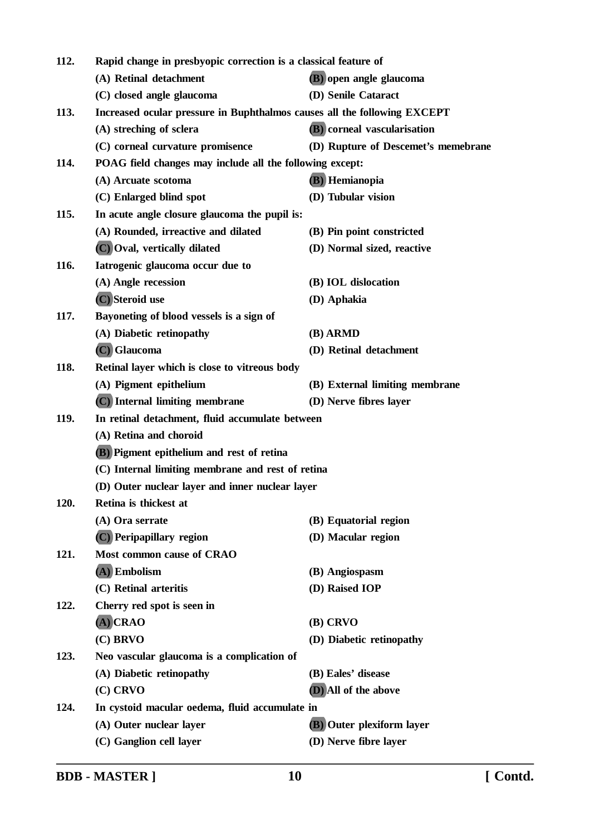| 112. | Rapid change in presbyopic correction is a classical feature of          |                                     |  |
|------|--------------------------------------------------------------------------|-------------------------------------|--|
|      | (A) Retinal detachment                                                   | (B) open angle glaucoma             |  |
|      | (C) closed angle glaucoma                                                | (D) Senile Cataract                 |  |
| 113. | Increased ocular pressure in Buphthalmos causes all the following EXCEPT |                                     |  |
|      | (A) streching of sclera                                                  | (B) corneal vascularisation         |  |
|      | (C) corneal curvature promisence                                         | (D) Rupture of Descemet's memebrane |  |
| 114. | POAG field changes may include all the following except:                 |                                     |  |
|      | (A) Arcuate scotoma                                                      | (B) Hemianopia                      |  |
|      | (C) Enlarged blind spot                                                  | (D) Tubular vision                  |  |
| 115. | In acute angle closure glaucoma the pupil is:                            |                                     |  |
|      | (A) Rounded, irreactive and dilated                                      | (B) Pin point constricted           |  |
|      | (C) Oval, vertically dilated                                             | (D) Normal sized, reactive          |  |
| 116. | Iatrogenic glaucoma occur due to                                         |                                     |  |
|      | (A) Angle recession                                                      | (B) IOL dislocation                 |  |
|      | (C) Steroid use                                                          | (D) Aphakia                         |  |
| 117. | Bayoneting of blood vessels is a sign of                                 |                                     |  |
|      | (A) Diabetic retinopathy                                                 | (B) ARMD                            |  |
|      | (C) Glaucoma                                                             | (D) Retinal detachment              |  |
| 118. | Retinal layer which is close to vitreous body                            |                                     |  |
|      | (A) Pigment epithelium                                                   | (B) External limiting membrane      |  |
|      | (C) Internal limiting membrane                                           | (D) Nerve fibres layer              |  |
| 119. | In retinal detachment, fluid accumulate between                          |                                     |  |
|      | (A) Retina and choroid                                                   |                                     |  |
|      | <b>(B)</b> Pigment epithelium and rest of retina                         |                                     |  |
|      | (C) Internal limiting membrane and rest of retina                        |                                     |  |
|      | (D) Outer nuclear layer and inner nuclear layer                          |                                     |  |
| 120. | Retina is thickest at                                                    |                                     |  |
|      | (A) Ora serrate                                                          | (B) Equatorial region               |  |
|      | (C) Peripapillary region                                                 | (D) Macular region                  |  |
| 121. | Most common cause of CRAO                                                |                                     |  |
|      | $(A)$ Embolism                                                           | (B) Angiospasm                      |  |
|      | (C) Retinal arteritis                                                    | (D) Raised IOP                      |  |
| 122. | Cherry red spot is seen in                                               |                                     |  |
|      | $(A)$ CRAO                                                               | (B) CRVO                            |  |
|      | $(C)$ BRVO                                                               | (D) Diabetic retinopathy            |  |
| 123. | Neo vascular glaucoma is a complication of                               |                                     |  |
|      | (A) Diabetic retinopathy                                                 | (B) Eales' disease                  |  |
|      | (C) CRVO                                                                 | (D) All of the above                |  |
| 124. | In cystoid macular oedema, fluid accumulate in                           |                                     |  |
|      | (A) Outer nuclear layer                                                  | (B) Outer plexiform layer           |  |
|      | (C) Ganglion cell layer                                                  | (D) Nerve fibre layer               |  |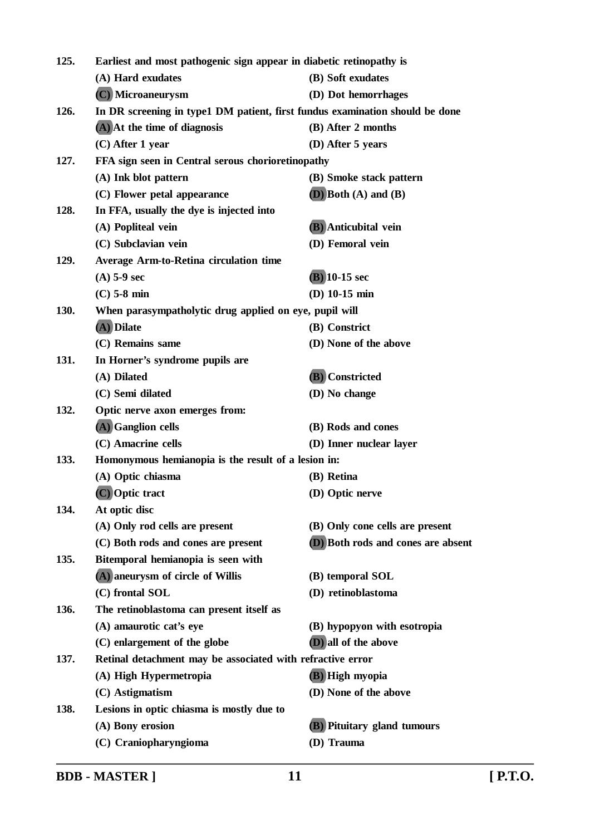| 125.<br>Earliest and most pathogenic sign appear in diabetic retinopathy is |                                                                              |                                    |
|-----------------------------------------------------------------------------|------------------------------------------------------------------------------|------------------------------------|
|                                                                             | (A) Hard exudates                                                            | (B) Soft exudates                  |
|                                                                             | (C) Microaneurysm                                                            | (D) Dot hemorrhages                |
| 126.                                                                        | In DR screening in type1 DM patient, first fundus examination should be done |                                    |
|                                                                             | $(A)$ At the time of diagnosis                                               | (B) After 2 months                 |
|                                                                             | (C) After 1 year                                                             | $(D)$ After 5 years                |
| 127.                                                                        | FFA sign seen in Central serous chorioretinopathy                            |                                    |
|                                                                             | (A) Ink blot pattern                                                         | (B) Smoke stack pattern            |
|                                                                             | (C) Flower petal appearance                                                  | $(D)$ Both $(A)$ and $(B)$         |
| 128.                                                                        | In FFA, usually the dye is injected into                                     |                                    |
|                                                                             | (A) Popliteal vein                                                           | <b>(B)</b> Anticubital vein        |
|                                                                             | (C) Subclavian vein                                                          | (D) Femoral vein                   |
| 129.                                                                        | <b>Average Arm-to-Retina circulation time</b>                                |                                    |
|                                                                             | $(A)$ 5-9 sec                                                                | $(B)$ 10-15 sec                    |
|                                                                             | $(C)$ 5-8 min                                                                | (D) $10-15$ min                    |
| 130.                                                                        | When parasympatholytic drug applied on eye, pupil will                       |                                    |
|                                                                             | (A) Dilate                                                                   | (B) Constrict                      |
|                                                                             | (C) Remains same                                                             | (D) None of the above              |
| 131.                                                                        | In Horner's syndrome pupils are                                              |                                    |
|                                                                             | (A) Dilated                                                                  | (B) Constricted                    |
|                                                                             | (C) Semi dilated                                                             | (D) No change                      |
| 132.                                                                        | Optic nerve axon emerges from:                                               |                                    |
|                                                                             | (A) Ganglion cells                                                           | (B) Rods and cones                 |
|                                                                             | (C) Amacrine cells                                                           | (D) Inner nuclear layer            |
| 133.                                                                        | Homonymous hemianopia is the result of a lesion in:                          |                                    |
|                                                                             | (A) Optic chiasma                                                            | (B) Retina                         |
|                                                                             | (C) Optic tract                                                              | (D) Optic nerve                    |
| 134.                                                                        | At optic disc                                                                |                                    |
|                                                                             | (A) Only rod cells are present                                               | (B) Only cone cells are present    |
|                                                                             | (C) Both rods and cones are present                                          | (D) Both rods and cones are absent |
| 135.                                                                        | Bitemporal hemianopia is seen with                                           |                                    |
|                                                                             | (A) aneurysm of circle of Willis                                             | (B) temporal SOL                   |
|                                                                             | (C) frontal SOL                                                              | (D) retinoblastoma                 |
| 136.                                                                        | The retinoblastoma can present itself as                                     |                                    |
|                                                                             | (A) amaurotic cat's eye                                                      | (B) hypopyon with esotropia        |
|                                                                             | (C) enlargement of the globe                                                 | (D) all of the above               |
| 137.                                                                        | Retinal detachment may be associated with refractive error                   |                                    |
|                                                                             | (A) High Hypermetropia                                                       | (B) High myopia                    |
|                                                                             | (C) Astigmatism                                                              | (D) None of the above              |
| 138.                                                                        | Lesions in optic chiasma is mostly due to                                    |                                    |
|                                                                             | (A) Bony erosion                                                             | <b>(B)</b> Pituitary gland tumours |
|                                                                             | (C) Craniopharyngioma                                                        | (D) Trauma                         |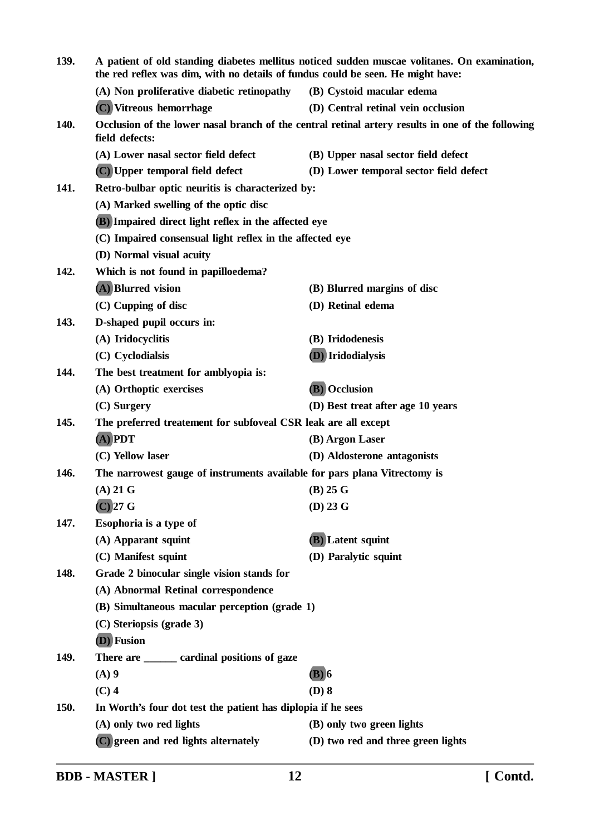| 139. | A patient of old standing diabetes mellitus noticed sudden muscae volitanes. On examination,<br>the red reflex was dim, with no details of fundus could be seen. He might have: |                                        |
|------|---------------------------------------------------------------------------------------------------------------------------------------------------------------------------------|----------------------------------------|
|      | (A) Non proliferative diabetic retinopathy                                                                                                                                      | (B) Cystoid macular edema              |
|      | (C) Vitreous hemorrhage                                                                                                                                                         | (D) Central retinal vein occlusion     |
| 140. | Occlusion of the lower nasal branch of the central retinal artery results in one of the following<br>field defects:                                                             |                                        |
|      | (A) Lower nasal sector field defect                                                                                                                                             | (B) Upper nasal sector field defect    |
|      | (C) Upper temporal field defect                                                                                                                                                 | (D) Lower temporal sector field defect |
| 141. | Retro-bulbar optic neuritis is characterized by:                                                                                                                                |                                        |
|      | (A) Marked swelling of the optic disc                                                                                                                                           |                                        |
|      | (B) Impaired direct light reflex in the affected eye                                                                                                                            |                                        |
|      | (C) Impaired consensual light reflex in the affected eye<br>(D) Normal visual acuity                                                                                            |                                        |
|      |                                                                                                                                                                                 |                                        |
| 142. | Which is not found in papilloedema?                                                                                                                                             |                                        |
|      | (A) Blurred vision                                                                                                                                                              | (B) Blurred margins of disc            |
|      | (C) Cupping of disc                                                                                                                                                             | (D) Retinal edema                      |
| 143. | D-shaped pupil occurs in:                                                                                                                                                       |                                        |
|      | (A) Iridocyclitis                                                                                                                                                               | (B) Iridodenesis                       |
|      | (C) Cyclodialsis                                                                                                                                                                | (D) Iridodialysis                      |
| 144. | The best treatment for amblyopia is:                                                                                                                                            |                                        |
|      | (A) Orthoptic exercises                                                                                                                                                         | (B) Occlusion                          |
|      | (C) Surgery                                                                                                                                                                     | (D) Best treat after age 10 years      |
| 145. | The preferred treatement for subfoveal CSR leak are all except                                                                                                                  |                                        |
|      | $(A)$ PDT                                                                                                                                                                       | (B) Argon Laser                        |
|      | (C) Yellow laser                                                                                                                                                                | (D) Aldosterone antagonists            |
| 146. | The narrowest gauge of instruments available for pars plana Vitrectomy is                                                                                                       |                                        |
|      | $(A)$ 21 G                                                                                                                                                                      | $(B)$ 25 G                             |
|      | $(C)$ 27 G                                                                                                                                                                      | $(D)$ 23 G                             |
| 147. | Esophoria is a type of                                                                                                                                                          |                                        |
|      | (A) Apparant squint                                                                                                                                                             | (B) Latent squint                      |
|      | (C) Manifest squint                                                                                                                                                             | (D) Paralytic squint                   |
| 148. | Grade 2 binocular single vision stands for                                                                                                                                      |                                        |
|      | (A) Abnormal Retinal correspondence                                                                                                                                             |                                        |
|      | (B) Simultaneous macular perception (grade 1)                                                                                                                                   |                                        |
|      | (C) Steriopsis (grade 3)                                                                                                                                                        |                                        |
|      | (D) Fusion                                                                                                                                                                      |                                        |
| 149. | There are <u>equal</u> cardinal positions of gaze                                                                                                                               |                                        |
|      | $(A)$ 9                                                                                                                                                                         | (B) 6                                  |
|      | $(C)$ 4                                                                                                                                                                         | $(D)$ 8                                |
| 150. | In Worth's four dot test the patient has diplopia if he sees                                                                                                                    |                                        |
|      | (A) only two red lights                                                                                                                                                         | (B) only two green lights              |
|      | (C) green and red lights alternately                                                                                                                                            | (D) two red and three green lights     |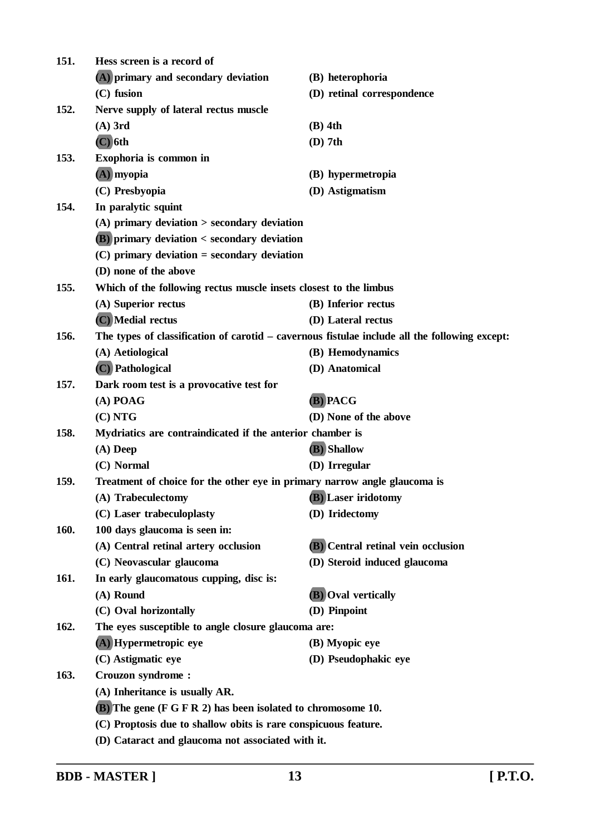| 151. | Hess screen is a record of                                                                    |                                    |  |
|------|-----------------------------------------------------------------------------------------------|------------------------------------|--|
|      | (A) primary and secondary deviation                                                           | (B) heterophoria                   |  |
|      | $(C)$ fusion                                                                                  | (D) retinal correspondence         |  |
| 152. | Nerve supply of lateral rectus muscle                                                         |                                    |  |
|      | $(A)$ 3rd                                                                                     | $(B)$ 4th                          |  |
|      | $(C)$ 6th                                                                                     | $(D)$ 7th                          |  |
| 153. | Exophoria is common in                                                                        |                                    |  |
|      | $(A)$ myopia                                                                                  | (B) hypermetropia                  |  |
|      | (C) Presbyopia                                                                                | (D) Astigmatism                    |  |
| 154. | In paralytic squint                                                                           |                                    |  |
|      | $(A)$ primary deviation $>$ secondary deviation                                               |                                    |  |
|      | <b>(B)</b> primary deviation < secondary deviation                                            |                                    |  |
|      | $(C)$ primary deviation = secondary deviation                                                 |                                    |  |
|      | (D) none of the above                                                                         |                                    |  |
| 155. | Which of the following rectus muscle insets closest to the limbus                             |                                    |  |
|      | (A) Superior rectus                                                                           | (B) Inferior rectus                |  |
|      | (C) Medial rectus                                                                             | (D) Lateral rectus                 |  |
| 156. | The types of classification of carotid – cavernous fistulae include all the following except: |                                    |  |
|      | (A) Aetiological                                                                              | (B) Hemodynamics                   |  |
|      | (C) Pathological                                                                              | (D) Anatomical                     |  |
| 157. | Dark room test is a provocative test for                                                      |                                    |  |
|      | $(A)$ POAG                                                                                    | (B) PACG                           |  |
|      | (C) NTG                                                                                       | (D) None of the above              |  |
| 158. | Mydriatics are contraindicated if the anterior chamber is                                     |                                    |  |
|      | $(A)$ Deep                                                                                    | (B) Shallow                        |  |
|      | (C) Normal                                                                                    | (D) Irregular                      |  |
| 159. | Treatment of choice for the other eye in primary narrow angle glaucoma is                     |                                    |  |
|      | (A) Trabeculectomy                                                                            | (B) Laser iridotomy                |  |
|      | (C) Laser trabeculoplasty                                                                     | (D) Iridectomy                     |  |
| 160. | 100 days glaucoma is seen in:                                                                 |                                    |  |
|      | (A) Central retinal artery occlusion                                                          | (B) Central retinal vein occlusion |  |
|      | (C) Neovascular glaucoma                                                                      | (D) Steroid induced glaucoma       |  |
| 161. | In early glaucomatous cupping, disc is:                                                       |                                    |  |
|      | (A) Round                                                                                     | <b>(B)</b> Oval vertically         |  |
|      | (C) Oval horizontally                                                                         | (D) Pinpoint                       |  |
| 162. | The eyes susceptible to angle closure glaucoma are:                                           |                                    |  |
|      | (A) Hypermetropic eye                                                                         | (B) Myopic eye                     |  |
|      | (C) Astigmatic eye                                                                            | (D) Pseudophakic eye               |  |
| 163. | <b>Crouzon syndrome:</b>                                                                      |                                    |  |
|      | (A) Inheritance is usually AR.                                                                |                                    |  |
|      | <b>(B)</b> The gene (F G F R 2) has been isolated to chromosome 10.                           |                                    |  |
|      | (C) Proptosis due to shallow obits is rare conspicuous feature.                               |                                    |  |
|      | (D) Cataract and glaucoma not associated with it.                                             |                                    |  |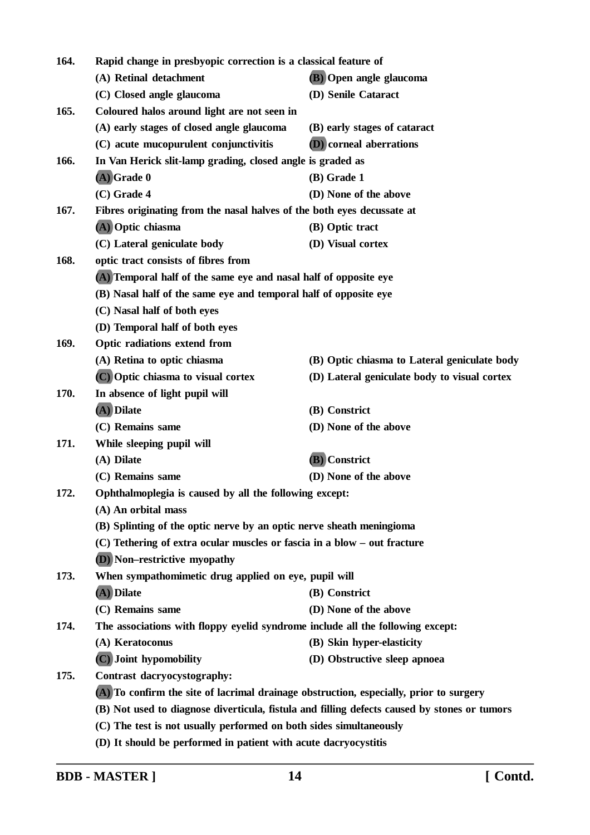| 164. | Rapid change in presbyopic correction is a classical feature of                              |                                              |  |
|------|----------------------------------------------------------------------------------------------|----------------------------------------------|--|
|      | (A) Retinal detachment                                                                       | (B) Open angle glaucoma                      |  |
|      | (C) Closed angle glaucoma                                                                    | (D) Senile Cataract                          |  |
| 165. | Coloured halos around light are not seen in                                                  |                                              |  |
|      | (A) early stages of closed angle glaucoma                                                    | (B) early stages of cataract                 |  |
|      | (C) acute mucopurulent conjunctivitis                                                        | <b>(D)</b> corneal aberrations               |  |
| 166. | In Van Herick slit-lamp grading, closed angle is graded as                                   |                                              |  |
|      | $(A)$ Grade 0                                                                                | $(B)$ Grade 1                                |  |
|      | $(C)$ Grade 4                                                                                | (D) None of the above                        |  |
| 167. | Fibres originating from the nasal halves of the both eyes decussate at                       |                                              |  |
|      | (A) Optic chiasma                                                                            | (B) Optic tract                              |  |
|      | (C) Lateral geniculate body                                                                  | (D) Visual cortex                            |  |
| 168. | optic tract consists of fibres from                                                          |                                              |  |
|      | (A) Temporal half of the same eye and nasal half of opposite eye                             |                                              |  |
|      | (B) Nasal half of the same eye and temporal half of opposite eye                             |                                              |  |
|      | (C) Nasal half of both eyes                                                                  |                                              |  |
|      | (D) Temporal half of both eyes                                                               |                                              |  |
| 169. | <b>Optic radiations extend from</b>                                                          |                                              |  |
|      | (A) Retina to optic chiasma                                                                  | (B) Optic chiasma to Lateral geniculate body |  |
|      | (C) Optic chiasma to visual cortex                                                           | (D) Lateral geniculate body to visual cortex |  |
| 170. | In absence of light pupil will                                                               |                                              |  |
|      | (A) Dilate                                                                                   | (B) Constrict                                |  |
|      | (C) Remains same                                                                             | (D) None of the above                        |  |
| 171. | While sleeping pupil will                                                                    |                                              |  |
|      | (A) Dilate                                                                                   | (B) Constrict                                |  |
|      | (C) Remains same                                                                             | (D) None of the above                        |  |
| 172. | Ophthalmoplegia is caused by all the following except:                                       |                                              |  |
|      | (A) An orbital mass                                                                          |                                              |  |
|      | (B) Splinting of the optic nerve by an optic nerve sheath meningioma                         |                                              |  |
|      | (C) Tethering of extra ocular muscles or fascia in a blow - out fracture                     |                                              |  |
|      | <b>(D)</b> Non–restrictive myopathy                                                          |                                              |  |
| 173. | When sympathomimetic drug applied on eye, pupil will                                         |                                              |  |
|      | (A) Dilate                                                                                   | (B) Constrict                                |  |
|      | (C) Remains same                                                                             | (D) None of the above                        |  |
| 174. | The associations with floppy eyelid syndrome include all the following except:               |                                              |  |
|      | (A) Keratoconus                                                                              | (B) Skin hyper-elasticity                    |  |
|      | (C) Joint hypomobility                                                                       | (D) Obstructive sleep apnoea                 |  |
| 175. | Contrast dacryocystography:                                                                  |                                              |  |
|      | (A) To confirm the site of lacrimal drainage obstruction, especially, prior to surgery       |                                              |  |
|      | (B) Not used to diagnose diverticula, fistula and filling defects caused by stones or tumors |                                              |  |
|      | (C) The test is not usually performed on both sides simultaneously                           |                                              |  |
|      | (D) It should be performed in patient with acute dacryocystitis                              |                                              |  |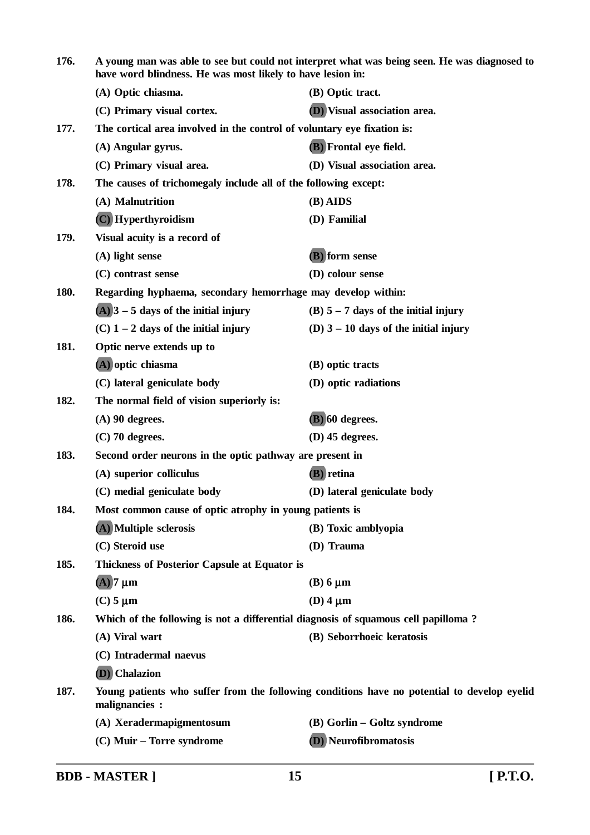| 176. | have word blindness. He was most likely to have lesion in:                                                    | A young man was able to see but could not interpret what was being seen. He was diagnosed to |  |
|------|---------------------------------------------------------------------------------------------------------------|----------------------------------------------------------------------------------------------|--|
|      | (A) Optic chiasma.                                                                                            | (B) Optic tract.                                                                             |  |
|      | (C) Primary visual cortex.                                                                                    | (D) Visual association area.                                                                 |  |
| 177. | The cortical area involved in the control of voluntary eye fixation is:                                       |                                                                                              |  |
|      | (A) Angular gyrus.                                                                                            | <b>(B)</b> Frontal eye field.                                                                |  |
|      | (C) Primary visual area.                                                                                      | (D) Visual association area.                                                                 |  |
| 178. | The causes of trichomegaly include all of the following except:                                               |                                                                                              |  |
|      | (A) Malnutrition                                                                                              | $(B)$ AIDS                                                                                   |  |
|      | (C) Hyperthyroidism                                                                                           | (D) Familial                                                                                 |  |
| 179. | Visual acuity is a record of                                                                                  |                                                                                              |  |
|      | $(A)$ light sense                                                                                             | (B) form sense                                                                               |  |
|      | (C) contrast sense                                                                                            | (D) colour sense                                                                             |  |
| 180. | Regarding hyphaema, secondary hemorrhage may develop within:                                                  |                                                                                              |  |
|      | $(A)$ 3 – 5 days of the initial injury                                                                        | (B) $5 - 7$ days of the initial injury                                                       |  |
|      | $(C)$ 1 – 2 days of the initial injury                                                                        | (D) $3 - 10$ days of the initial injury                                                      |  |
| 181. | Optic nerve extends up to                                                                                     |                                                                                              |  |
|      | (A) optic chiasma                                                                                             | (B) optic tracts                                                                             |  |
|      | (C) lateral geniculate body                                                                                   | (D) optic radiations                                                                         |  |
| 182. | The normal field of vision superiorly is:                                                                     |                                                                                              |  |
|      | $(A)$ 90 degrees.                                                                                             | $(B)$ 60 degrees.                                                                            |  |
|      | $(C)$ 70 degrees.                                                                                             | $(D)$ 45 degrees.                                                                            |  |
| 183. | Second order neurons in the optic pathway are present in                                                      |                                                                                              |  |
|      | (A) superior colliculus                                                                                       | <b>(B)</b> retina                                                                            |  |
|      | (C) medial geniculate body                                                                                    | (D) lateral geniculate body                                                                  |  |
| 184. | Most common cause of optic atrophy in young patients is                                                       |                                                                                              |  |
|      | (A) Multiple sclerosis                                                                                        | (B) Toxic amblyopia                                                                          |  |
|      | (C) Steroid use                                                                                               | (D) Trauma                                                                                   |  |
| 185. | <b>Thickness of Posterior Capsule at Equator is</b>                                                           |                                                                                              |  |
|      | $(A)$ 7 $\mu$ m                                                                                               | $(B)$ 6 $\mu$ m                                                                              |  |
|      | $(C)$ 5 $\mu$ m                                                                                               | (D) $4 \mu m$                                                                                |  |
| 186. | Which of the following is not a differential diagnosis of squamous cell papilloma?                            |                                                                                              |  |
|      | (A) Viral wart                                                                                                | (B) Seborrhoeic keratosis                                                                    |  |
|      | (C) Intradermal naevus                                                                                        |                                                                                              |  |
|      | (D) Chalazion                                                                                                 |                                                                                              |  |
| 187. | Young patients who suffer from the following conditions have no potential to develop eyelid<br>malignancies : |                                                                                              |  |
|      | (A) Xeradermapigmentosum                                                                                      | (B) Gorlin – Goltz syndrome                                                                  |  |
|      | (C) Muir – Torre syndrome                                                                                     | (D) Neurofibromatosis                                                                        |  |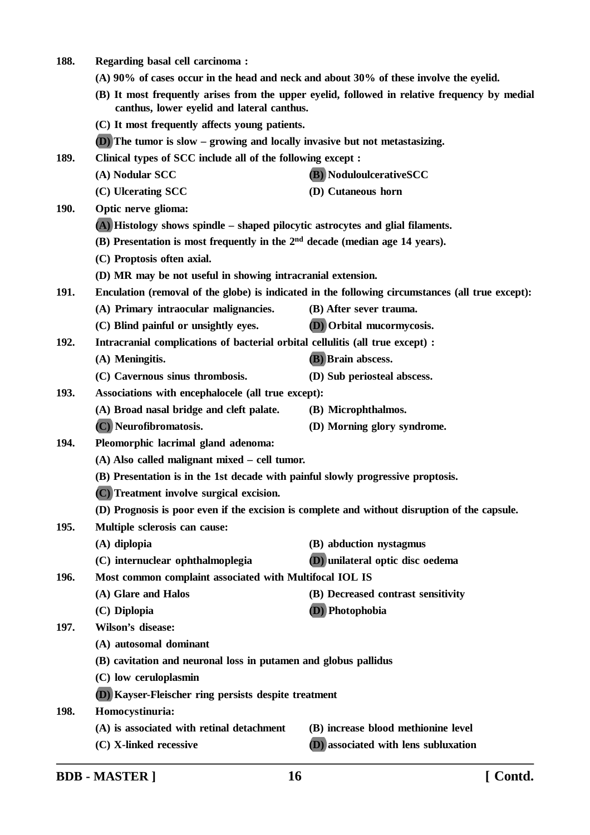- **(A) 90% of cases occur in the head and neck and about 30% of these involve the eyelid. (B) It most frequently arises from the upper eyelid, followed in relative frequency by medial canthus, lower eyelid and lateral canthus. (C) It most frequently affects young patients. (D) The tumor is slow – growing and locally invasive but not metastasizing. 189. Clinical types of SCC include all of the following except : (A) Nodular SCC (B) NoduloulcerativeSCC (C) Ulcerating SCC (D) Cutaneous horn 190. Optic nerve glioma: (A) Histology shows spindle – shaped pilocytic astrocytes and glial filaments. (B) Presentation is most frequently in the 2nd decade (median age 14 years).**
	- **(C) Proptosis often axial.**

**188. Regarding basal cell carcinoma :**

- **(D) MR may be not useful in showing intracranial extension.**
- **191. Enculation (removal of the globe) is indicated in the following circumstances (all true except):**
	- **(A) Primary intraocular malignancies. (B) After sever trauma.**
		- **(C) Blind painful or unsightly eyes. (D) Orbital mucormycosis.**
- **192. Intracranial complications of bacterial orbital cellulitis (all true except) :**
	- **(A) Meningitis. (B) Brain abscess.**
	- **(C) Cavernous sinus thrombosis. (D) Sub periosteal abscess.**
- **193. Associations with encephalocele (all true except):**
	- **(A) Broad nasal bridge and cleft palate. (B) Microphthalmos.**
		- **(C) Neurofibromatosis. (D) Morning glory syndrome.**
- **194. Pleomorphic lacrimal gland adenoma:**
	- **(A) Also called malignant mixed cell tumor.**
	- **(B) Presentation is in the 1st decade with painful slowly progressive proptosis.**
	- **(C) Treatment involve surgical excision.**
	- **(D) Prognosis is poor even if the excision is complete and without disruption of the capsule.**
- **195. Multiple sclerosis can cause:**
	- **(A) diplopia (B) abduction nystagmus**
	- **(C) internuclear ophthalmoplegia (D) unilateral optic disc oedema**
- **196. Most common complaint associated with Multifocal IOL IS**
	- **(A) Glare and Halos (B) Decreased contrast sensitivity**
	- **(C) Diplopia (D) Photophobia**
- **197. Wilson's disease:**
	- **(A) autosomal dominant**
	- **(B) cavitation and neuronal loss in putamen and globus pallidus**
	- **(C) low ceruloplasmin**
	- **(D) Kayser-Fleischer ring persists despite treatment**
- **198. Homocystinuria:**
	- **(A) is associated with retinal detachment (B) increase blood methionine level**
	-
	- **(C) X-linked recessive (D) associated with lens subluxation**
	-